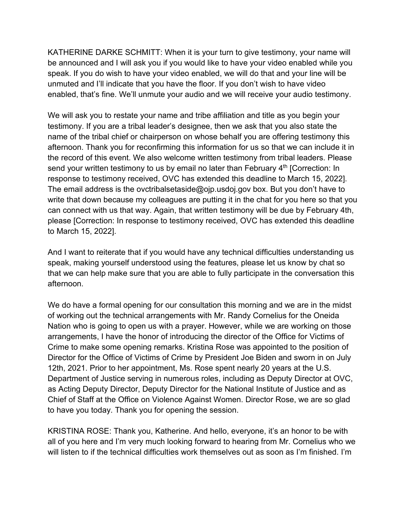KATHERINE DARKE SCHMITT: When it is your turn to give testimony, your name will be announced and I will ask you if you would like to have your video enabled while you speak. If you do wish to have your video enabled, we will do that and your line will be unmuted and I'll indicate that you have the floor. If you don't wish to have video enabled, that's fine. We'll unmute your audio and we will receive your audio testimony.

We will ask you to restate your name and tribe affiliation and title as you begin your testimony. If you are a tribal leader's designee, then we ask that you also state the name of the tribal chief or chairperson on whose behalf you are offering testimony this afternoon. Thank you for reconfirming this information for us so that we can include it in the record of this event. We also welcome written testimony from tribal leaders. Please send your written testimony to us by email no later than February  $4<sup>th</sup>$  [Correction: In response to testimony received, OVC has extended this deadline to March 15, 2022]. The email address is the ovctribalsetaside@ojp.usdoj.gov box. But you don't have to write that down because my colleagues are putting it in the chat for you here so that you can connect with us that way. Again, that written testimony will be due by February 4th, please [Correction: In response to testimony received, OVC has extended this deadline to March 15, 2022].

And I want to reiterate that if you would have any technical difficulties understanding us speak, making yourself understood using the features, please let us know by chat so that we can help make sure that you are able to fully participate in the conversation this afternoon.

We do have a formal opening for our consultation this morning and we are in the midst of working out the technical arrangements with Mr. Randy Cornelius for the Oneida Nation who is going to open us with a prayer. However, while we are working on those arrangements, I have the honor of introducing the director of the Office for Victims of Crime to make some opening remarks. Kristina Rose was appointed to the position of Director for the Office of Victims of Crime by President Joe Biden and sworn in on July 12th, 2021. Prior to her appointment, Ms. Rose spent nearly 20 years at the U.S. Department of Justice serving in numerous roles, including as Deputy Director at OVC, as Acting Deputy Director, Deputy Director for the National Institute of Justice and as Chief of Staff at the Office on Violence Against Women. Director Rose, we are so glad to have you today. Thank you for opening the session.

KRISTINA ROSE: Thank you, Katherine. And hello, everyone, it's an honor to be with all of you here and I'm very much looking forward to hearing from Mr. Cornelius who we will listen to if the technical difficulties work themselves out as soon as I'm finished. I'm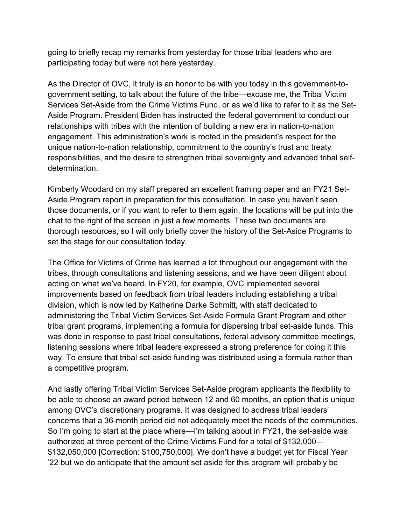going to briefly recap my remarks from yesterday for those tribal leaders who are participating today but were not here yesterday.

As the Director of OVC, it truly is an honor to be with you today in this government-togovernment setting, to talk about the future of the tribe—excuse me, the Tribal Victim Services Set-Aside from the Crime Victims Fund, or as we'd like to refer to it as the Set-Aside Program. President Biden has instructed the federal government to conduct our relationships with tribes with the intention of building a new era in nation-to-nation engagement. This administration's work is rooted in the president's respect for the unique nation-to-nation relationship, commitment to the country's trust and treaty responsibilities, and the desire to strengthen tribal sovereignty and advanced tribal selfdetermination.

Kimberly Woodard on my staff prepared an excellent framing paper and an FY21 Set-Aside Program report in preparation for this consultation. In case you haven't seen those documents, or if you want to refer to them again, the locations will be put into the chat to the right of the screen in just a few moments. These two documents are thorough resources, so I will only briefly cover the history of the Set-Aside Programs to set the stage for our consultation today.

The Office for Victims of Crime has learned a lot throughout our engagement with the tribes, through consultations and listening sessions, and we have been diligent about acting on what we've heard. In FY20, for example, OVC implemented several improvements based on feedback from tribal leaders including establishing a tribal division, which is now led by Katherine Darke Schmitt, with staff dedicated to administering the Tribal Victim Services Set-Aside Formula Grant Program and other tribal grant programs, implementing a formula for dispersing tribal set-aside funds. This was done in response to past tribal consultations, federal advisory committee meetings, listening sessions where tribal leaders expressed a strong preference for doing it this way. To ensure that tribal set-aside funding was distributed using a formula rather than a competitive program.

And lastly offering Tribal Victim Services Set-Aside program applicants the flexibility to be able to choose an award period between 12 and 60 months, an option that is unique among OVC's discretionary programs. It was designed to address tribal leaders' concerns that a 36-month period did not adequately meet the needs of the communities. So I'm going to start at the place where—I'm talking about in FY21, the set-aside was authorized at three percent of the Crime Victims Fund for a total of \$132,000— \$132,050,000 [Correction: \$100,750,000]. We don't have a budget yet for Fiscal Year '22 but we do anticipate that the amount set aside for this program will probably be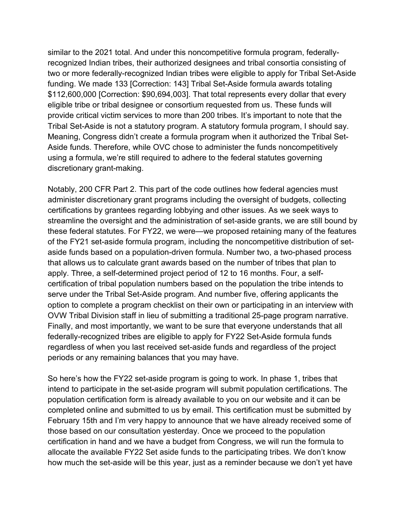similar to the 2021 total. And under this noncompetitive formula program, federallyrecognized Indian tribes, their authorized designees and tribal consortia consisting of two or more federally-recognized Indian tribes were eligible to apply for Tribal Set-Aside funding. We made 133 [Correction: 143] Tribal Set-Aside formula awards totaling \$112,600,000 [Correction: \$90,694,003]. That total represents every dollar that every eligible tribe or tribal designee or consortium requested from us. These funds will provide critical victim services to more than 200 tribes. It's important to note that the Tribal Set-Aside is not a statutory program. A statutory formula program, I should say. Meaning, Congress didn't create a formula program when it authorized the Tribal Set-Aside funds. Therefore, while OVC chose to administer the funds noncompetitively using a formula, we're still required to adhere to the federal statutes governing discretionary grant-making.

Notably, 200 CFR Part 2. This part of the code outlines how federal agencies must administer discretionary grant programs including the oversight of budgets, collecting certifications by grantees regarding lobbying and other issues. As we seek ways to streamline the oversight and the administration of set-aside grants, we are still bound by these federal statutes. For FY22, we were—we proposed retaining many of the features of the FY21 set-aside formula program, including the noncompetitive distribution of setaside funds based on a population-driven formula. Number two, a two-phased process that allows us to calculate grant awards based on the number of tribes that plan to apply. Three, a self-determined project period of 12 to 16 months. Four, a selfcertification of tribal population numbers based on the population the tribe intends to serve under the Tribal Set-Aside program. And number five, offering applicants the option to complete a program checklist on their own or participating in an interview with OVW Tribal Division staff in lieu of submitting a traditional 25-page program narrative. Finally, and most importantly, we want to be sure that everyone understands that all federally-recognized tribes are eligible to apply for FY22 Set-Aside formula funds regardless of when you last received set-aside funds and regardless of the project periods or any remaining balances that you may have.

So here's how the FY22 set-aside program is going to work. In phase 1, tribes that intend to participate in the set-aside program will submit population certifications. The population certification form is already available to you on our website and it can be completed online and submitted to us by email. This certification must be submitted by February 15th and I'm very happy to announce that we have already received some of those based on our consultation yesterday. Once we proceed to the population certification in hand and we have a budget from Congress, we will run the formula to allocate the available FY22 Set aside funds to the participating tribes. We don't know how much the set-aside will be this year, just as a reminder because we don't yet have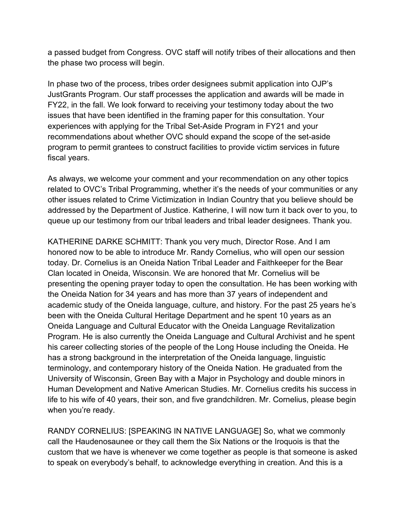a passed budget from Congress. OVC staff will notify tribes of their allocations and then the phase two process will begin.

In phase two of the process, tribes order designees submit application into OJP's JustGrants Program. Our staff processes the application and awards will be made in FY22, in the fall. We look forward to receiving your testimony today about the two issues that have been identified in the framing paper for this consultation. Your experiences with applying for the Tribal Set-Aside Program in FY21 and your recommendations about whether OVC should expand the scope of the set-aside program to permit grantees to construct facilities to provide victim services in future fiscal years.

As always, we welcome your comment and your recommendation on any other topics related to OVC's Tribal Programming, whether it's the needs of your communities or any other issues related to Crime Victimization in Indian Country that you believe should be addressed by the Department of Justice. Katherine, I will now turn it back over to you, to queue up our testimony from our tribal leaders and tribal leader designees. Thank you.

KATHERINE DARKE SCHMITT: Thank you very much, Director Rose. And I am honored now to be able to introduce Mr. Randy Cornelius, who will open our session today. Dr. Cornelius is an Oneida Nation Tribal Leader and Faithkeeper for the Bear Clan located in Oneida, Wisconsin. We are honored that Mr. Cornelius will be presenting the opening prayer today to open the consultation. He has been working with the Oneida Nation for 34 years and has more than 37 years of independent and academic study of the Oneida language, culture, and history. For the past 25 years he's been with the Oneida Cultural Heritage Department and he spent 10 years as an Oneida Language and Cultural Educator with the Oneida Language Revitalization Program. He is also currently the Oneida Language and Cultural Archivist and he spent his career collecting stories of the people of the Long House including the Oneida. He has a strong background in the interpretation of the Oneida language, linguistic terminology, and contemporary history of the Oneida Nation. He graduated from the University of Wisconsin, Green Bay with a Major in Psychology and double minors in Human Development and Native American Studies. Mr. Cornelius credits his success in life to his wife of 40 years, their son, and five grandchildren. Mr. Cornelius, please begin when you're ready.

RANDY CORNELIUS: [SPEAKING IN NATIVE LANGUAGE] So, what we commonly call the Haudenosaunee or they call them the Six Nations or the Iroquois is that the custom that we have is whenever we come together as people is that someone is asked to speak on everybody's behalf, to acknowledge everything in creation. And this is a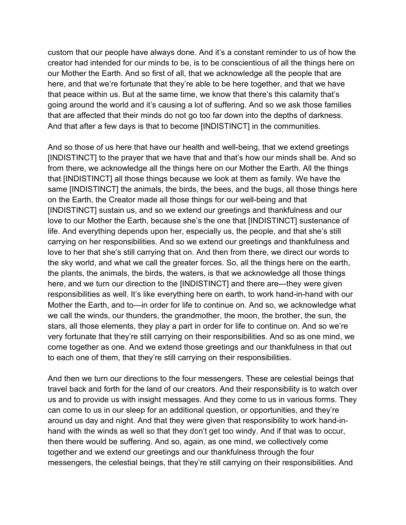custom that our people have always done. And it's a constant reminder to us of how the creator had intended for our minds to be, is to be conscientious of all the things here on our Mother the Earth. And so first of all, that we acknowledge all the people that are here, and that we're fortunate that they're able to be here together, and that we have that peace within us. But at the same time, we know that there's this calamity that's going around the world and it's causing a lot of suffering. And so we ask those families that are affected that their minds do not go too far down into the depths of darkness. And that after a few days is that to become [INDISTINCT] in the communities.

And so those of us here that have our health and well-being, that we extend greetings [INDISTINCT] to the prayer that we have that and that's how our minds shall be. And so from there, we acknowledge all the things here on our Mother the Earth. All the things that [INDISTINCT] all those things because we look at them as family. We have the same [INDISTINCT] the animals, the birds, the bees, and the bugs, all those things here on the Earth, the Creator made all those things for our well-being and that [INDISTINCT] sustain us, and so we extend our greetings and thankfulness and our love to our Mother the Earth, because she's the one that [INDISTINCT] sustenance of life. And everything depends upon her, especially us, the people, and that she's still carrying on her responsibilities. And so we extend our greetings and thankfulness and love to her that she's still carrying that on. And then from there, we direct our words to the sky world, and what we call the greater forces. So, all the things here on the earth, the plants, the animals, the birds, the waters, is that we acknowledge all those things here, and we turn our direction to the [INDISTINCT] and there are—they were given responsibilities as well. It's like everything here on earth, to work hand-in-hand with our Mother the Earth, and to—in order for life to continue on. And so, we acknowledge what we call the winds, our thunders, the grandmother, the moon, the brother, the sun, the stars, all those elements, they play a part in order for life to continue on. And so we're very fortunate that they're still carrying on their responsibilities. And so as one mind, we come together as one. And we extend those greetings and our thankfulness in that out to each one of them, that they're still carrying on their responsibilities.

And then we turn our directions to the four messengers. These are celestial beings that travel back and forth for the land of our creators. And their responsibility is to watch over us and to provide us with insight messages. And they come to us in various forms. They can come to us in our sleep for an additional question, or opportunities, and they're around us day and night. And that they were given that responsibility to work hand-inhand with the winds as well so that they don't get too windy. And if that was to occur, then there would be suffering. And so, again, as one mind, we collectively come together and we extend our greetings and our thankfulness through the four messengers, the celestial beings, that they're still carrying on their responsibilities. And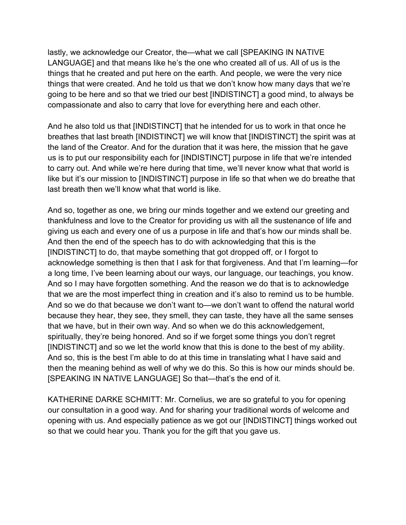lastly, we acknowledge our Creator, the—what we call [SPEAKING IN NATIVE LANGUAGE] and that means like he's the one who created all of us. All of us is the things that he created and put here on the earth. And people, we were the very nice things that were created. And he told us that we don't know how many days that we're going to be here and so that we tried our best [INDISTINCT] a good mind, to always be compassionate and also to carry that love for everything here and each other.

And he also told us that [INDISTINCT] that he intended for us to work in that once he breathes that last breath [INDISTINCT] we will know that [INDISTINCT] the spirit was at the land of the Creator. And for the duration that it was here, the mission that he gave us is to put our responsibility each for [INDISTINCT] purpose in life that we're intended to carry out. And while we're here during that time, we'll never know what that world is like but it's our mission to [INDISTINCT] purpose in life so that when we do breathe that last breath then we'll know what that world is like.

And so, together as one, we bring our minds together and we extend our greeting and thankfulness and love to the Creator for providing us with all the sustenance of life and giving us each and every one of us a purpose in life and that's how our minds shall be. And then the end of the speech has to do with acknowledging that this is the [INDISTINCT] to do, that maybe something that got dropped off, or I forgot to acknowledge something is then that I ask for that forgiveness. And that I'm learning—for a long time, I've been learning about our ways, our language, our teachings, you know. And so I may have forgotten something. And the reason we do that is to acknowledge that we are the most imperfect thing in creation and it's also to remind us to be humble. And so we do that because we don't want to—we don't want to offend the natural world because they hear, they see, they smell, they can taste, they have all the same senses that we have, but in their own way. And so when we do this acknowledgement, spiritually, they're being honored. And so if we forget some things you don't regret [INDISTINCT] and so we let the world know that this is done to the best of my ability. And so, this is the best I'm able to do at this time in translating what I have said and then the meaning behind as well of why we do this. So this is how our minds should be. [SPEAKING IN NATIVE LANGUAGE] So that—that's the end of it.

KATHERINE DARKE SCHMITT: Mr. Cornelius, we are so grateful to you for opening our consultation in a good way. And for sharing your traditional words of welcome and opening with us. And especially patience as we got our [INDISTINCT] things worked out so that we could hear you. Thank you for the gift that you gave us.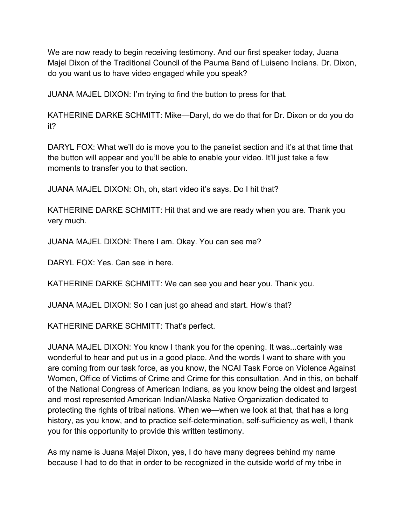We are now ready to begin receiving testimony. And our first speaker today, Juana Majel Dixon of the Traditional Council of the Pauma Band of Luiseno Indians. Dr. Dixon, do you want us to have video engaged while you speak?

JUANA MAJEL DIXON: I'm trying to find the button to press for that.

KATHERINE DARKE SCHMITT: Mike—Daryl, do we do that for Dr. Dixon or do you do it?

DARYL FOX: What we'll do is move you to the panelist section and it's at that time that the button will appear and you'll be able to enable your video. It'll just take a few moments to transfer you to that section.

JUANA MAJEL DIXON: Oh, oh, start video it's says. Do I hit that?

KATHERINE DARKE SCHMITT: Hit that and we are ready when you are. Thank you very much.

JUANA MAJEL DIXON: There I am. Okay. You can see me?

DARYL FOX: Yes. Can see in here.

KATHERINE DARKE SCHMITT: We can see you and hear you. Thank you.

JUANA MAJEL DIXON: So I can just go ahead and start. How's that?

KATHERINE DARKE SCHMITT: That's perfect.

JUANA MAJEL DIXON: You know I thank you for the opening. It was...certainly was wonderful to hear and put us in a good place. And the words I want to share with you are coming from our task force, as you know, the NCAI Task Force on Violence Against Women, Office of Victims of Crime and Crime for this consultation. And in this, on behalf of the National Congress of American Indians, as you know being the oldest and largest and most represented American Indian/Alaska Native Organization dedicated to protecting the rights of tribal nations. When we—when we look at that, that has a long history, as you know, and to practice self-determination, self-sufficiency as well, I thank you for this opportunity to provide this written testimony.

As my name is Juana Majel Dixon, yes, I do have many degrees behind my name because I had to do that in order to be recognized in the outside world of my tribe in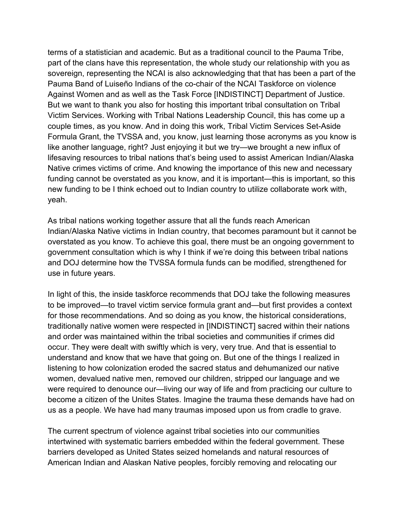terms of a statistician and academic. But as a traditional council to the Pauma Tribe, part of the clans have this representation, the whole study our relationship with you as sovereign, representing the NCAI is also acknowledging that that has been a part of the Pauma Band of Luiseño Indians of the co-chair of the NCAI Taskforce on violence Against Women and as well as the Task Force [INDISTINCT] Department of Justice. But we want to thank you also for hosting this important tribal consultation on Tribal Victim Services. Working with Tribal Nations Leadership Council, this has come up a couple times, as you know. And in doing this work, Tribal Victim Services Set-Aside Formula Grant, the TVSSA and, you know, just learning those acronyms as you know is like another language, right? Just enjoying it but we try—we brought a new influx of lifesaving resources to tribal nations that's being used to assist American Indian/Alaska Native crimes victims of crime. And knowing the importance of this new and necessary funding cannot be overstated as you know, and it is important—this is important, so this new funding to be I think echoed out to Indian country to utilize collaborate work with, yeah.

As tribal nations working together assure that all the funds reach American Indian/Alaska Native victims in Indian country, that becomes paramount but it cannot be overstated as you know. To achieve this goal, there must be an ongoing government to government consultation which is why I think if we're doing this between tribal nations and DOJ determine how the TVSSA formula funds can be modified, strengthened for use in future years.

In light of this, the inside taskforce recommends that DOJ take the following measures to be improved—to travel victim service formula grant and—but first provides a context for those recommendations. And so doing as you know, the historical considerations, traditionally native women were respected in [INDISTINCT] sacred within their nations and order was maintained within the tribal societies and communities if crimes did occur. They were dealt with swiftly which is very, very true. And that is essential to understand and know that we have that going on. But one of the things I realized in listening to how colonization eroded the sacred status and dehumanized our native women, devalued native men, removed our children, stripped our language and we were required to denounce our—living our way of life and from practicing our culture to become a citizen of the Unites States. Imagine the trauma these demands have had on us as a people. We have had many traumas imposed upon us from cradle to grave.

The current spectrum of violence against tribal societies into our communities intertwined with systematic barriers embedded within the federal government. These barriers developed as United States seized homelands and natural resources of American Indian and Alaskan Native peoples, forcibly removing and relocating our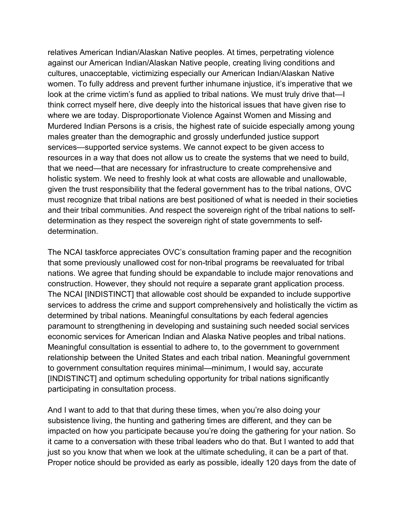relatives American Indian/Alaskan Native peoples. At times, perpetrating violence against our American Indian/Alaskan Native people, creating living conditions and cultures, unacceptable, victimizing especially our American Indian/Alaskan Native women. To fully address and prevent further inhumane injustice, it's imperative that we look at the crime victim's fund as applied to tribal nations. We must truly drive that—I think correct myself here, dive deeply into the historical issues that have given rise to where we are today. Disproportionate Violence Against Women and Missing and Murdered Indian Persons is a crisis, the highest rate of suicide especially among young males greater than the demographic and grossly underfunded justice support services—supported service systems. We cannot expect to be given access to resources in a way that does not allow us to create the systems that we need to build, that we need—that are necessary for infrastructure to create comprehensive and holistic system. We need to freshly look at what costs are allowable and unallowable, given the trust responsibility that the federal government has to the tribal nations, OVC must recognize that tribal nations are best positioned of what is needed in their societies and their tribal communities. And respect the sovereign right of the tribal nations to selfdetermination as they respect the sovereign right of state governments to selfdetermination.

The NCAI taskforce appreciates OVC's consultation framing paper and the recognition that some previously unallowed cost for non-tribal programs be reevaluated for tribal nations. We agree that funding should be expandable to include major renovations and construction. However, they should not require a separate grant application process. The NCAI [INDISTINCT] that allowable cost should be expanded to include supportive services to address the crime and support comprehensively and holistically the victim as determined by tribal nations. Meaningful consultations by each federal agencies paramount to strengthening in developing and sustaining such needed social services economic services for American Indian and Alaska Native peoples and tribal nations. Meaningful consultation is essential to adhere to, to the government to government relationship between the United States and each tribal nation. Meaningful government to government consultation requires minimal—minimum, I would say, accurate [INDISTINCT] and optimum scheduling opportunity for tribal nations significantly participating in consultation process.

And I want to add to that that during these times, when you're also doing your subsistence living, the hunting and gathering times are different, and they can be impacted on how you participate because you're doing the gathering for your nation. So it came to a conversation with these tribal leaders who do that. But I wanted to add that just so you know that when we look at the ultimate scheduling, it can be a part of that. Proper notice should be provided as early as possible, ideally 120 days from the date of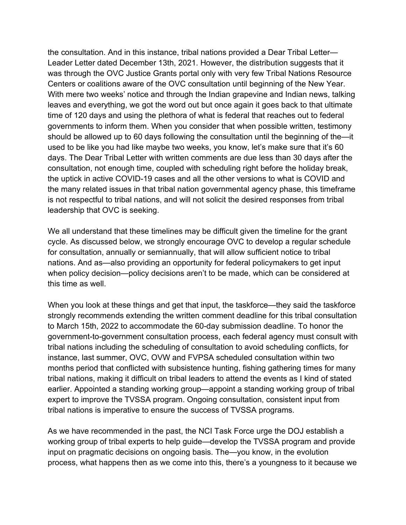the consultation. And in this instance, tribal nations provided a Dear Tribal Letter— Leader Letter dated December 13th, 2021. However, the distribution suggests that it was through the OVC Justice Grants portal only with very few Tribal Nations Resource Centers or coalitions aware of the OVC consultation until beginning of the New Year. With mere two weeks' notice and through the Indian grapevine and Indian news, talking leaves and everything, we got the word out but once again it goes back to that ultimate time of 120 days and using the plethora of what is federal that reaches out to federal governments to inform them. When you consider that when possible written, testimony should be allowed up to 60 days following the consultation until the beginning of the—it used to be like you had like maybe two weeks, you know, let's make sure that it's 60 days. The Dear Tribal Letter with written comments are due less than 30 days after the consultation, not enough time, coupled with scheduling right before the holiday break, the uptick in active COVID-19 cases and all the other versions to what is COVID and the many related issues in that tribal nation governmental agency phase, this timeframe is not respectful to tribal nations, and will not solicit the desired responses from tribal leadership that OVC is seeking.

We all understand that these timelines may be difficult given the timeline for the grant cycle. As discussed below, we strongly encourage OVC to develop a regular schedule for consultation, annually or semiannually, that will allow sufficient notice to tribal nations. And as—also providing an opportunity for federal policymakers to get input when policy decision—policy decisions aren't to be made, which can be considered at this time as well.

When you look at these things and get that input, the taskforce—they said the taskforce strongly recommends extending the written comment deadline for this tribal consultation to March 15th, 2022 to accommodate the 60-day submission deadline. To honor the government-to-government consultation process, each federal agency must consult with tribal nations including the scheduling of consultation to avoid scheduling conflicts, for instance, last summer, OVC, OVW and FVPSA scheduled consultation within two months period that conflicted with subsistence hunting, fishing gathering times for many tribal nations, making it difficult on tribal leaders to attend the events as I kind of stated earlier. Appointed a standing working group—appoint a standing working group of tribal expert to improve the TVSSA program. Ongoing consultation, consistent input from tribal nations is imperative to ensure the success of TVSSA programs.

As we have recommended in the past, the NCI Task Force urge the DOJ establish a working group of tribal experts to help guide—develop the TVSSA program and provide input on pragmatic decisions on ongoing basis. The—you know, in the evolution process, what happens then as we come into this, there's a youngness to it because we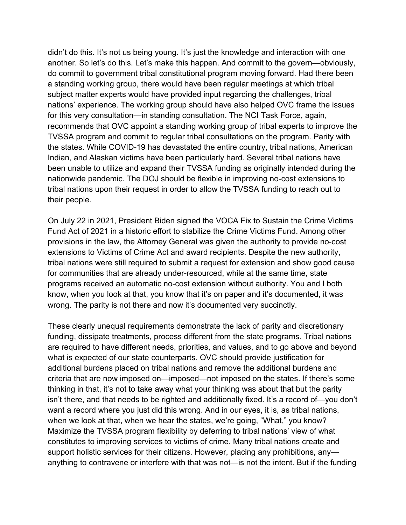didn't do this. It's not us being young. It's just the knowledge and interaction with one another. So let's do this. Let's make this happen. And commit to the govern—obviously, do commit to government tribal constitutional program moving forward. Had there been a standing working group, there would have been regular meetings at which tribal subject matter experts would have provided input regarding the challenges, tribal nations' experience. The working group should have also helped OVC frame the issues for this very consultation—in standing consultation. The NCI Task Force, again, recommends that OVC appoint a standing working group of tribal experts to improve the TVSSA program and commit to regular tribal consultations on the program. Parity with the states. While COVID-19 has devastated the entire country, tribal nations, American Indian, and Alaskan victims have been particularly hard. Several tribal nations have been unable to utilize and expand their TVSSA funding as originally intended during the nationwide pandemic. The DOJ should be flexible in improving no-cost extensions to tribal nations upon their request in order to allow the TVSSA funding to reach out to their people.

On July 22 in 2021, President Biden signed the VOCA Fix to Sustain the Crime Victims Fund Act of 2021 in a historic effort to stabilize the Crime Victims Fund. Among other provisions in the law, the Attorney General was given the authority to provide no-cost extensions to Victims of Crime Act and award recipients. Despite the new authority, tribal nations were still required to submit a request for extension and show good cause for communities that are already under-resourced, while at the same time, state programs received an automatic no-cost extension without authority. You and I both know, when you look at that, you know that it's on paper and it's documented, it was wrong. The parity is not there and now it's documented very succinctly.

These clearly unequal requirements demonstrate the lack of parity and discretionary funding, dissipate treatments, process different from the state programs. Tribal nations are required to have different needs, priorities, and values, and to go above and beyond what is expected of our state counterparts. OVC should provide justification for additional burdens placed on tribal nations and remove the additional burdens and criteria that are now imposed on—imposed—not imposed on the states. If there's some thinking in that, it's not to take away what your thinking was about that but the parity isn't there, and that needs to be righted and additionally fixed. It's a record of—you don't want a record where you just did this wrong. And in our eyes, it is, as tribal nations, when we look at that, when we hear the states, we're going, "What," you know? Maximize the TVSSA program flexibility by deferring to tribal nations' view of what constitutes to improving services to victims of crime. Many tribal nations create and support holistic services for their citizens. However, placing any prohibitions, any anything to contravene or interfere with that was not—is not the intent. But if the funding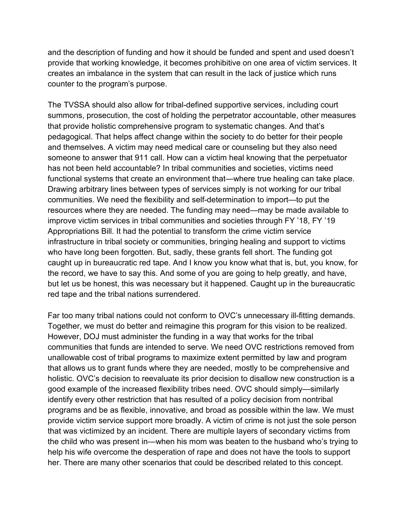and the description of funding and how it should be funded and spent and used doesn't provide that working knowledge, it becomes prohibitive on one area of victim services. It creates an imbalance in the system that can result in the lack of justice which runs counter to the program's purpose.

The TVSSA should also allow for tribal-defined supportive services, including court summons, prosecution, the cost of holding the perpetrator accountable, other measures that provide holistic comprehensive program to systematic changes. And that's pedagogical. That helps affect change within the society to do better for their people and themselves. A victim may need medical care or counseling but they also need someone to answer that 911 call. How can a victim heal knowing that the perpetuator has not been held accountable? In tribal communities and societies, victims need functional systems that create an environment that—where true healing can take place. Drawing arbitrary lines between types of services simply is not working for our tribal communities. We need the flexibility and self-determination to import—to put the resources where they are needed. The funding may need—may be made available to improve victim services in tribal communities and societies through FY '18, FY '19 Appropriations Bill. It had the potential to transform the crime victim service infrastructure in tribal society or communities, bringing healing and support to victims who have long been forgotten. But, sadly, these grants fell short. The funding got caught up in bureaucratic red tape. And I know you know what that is, but, you know, for the record, we have to say this. And some of you are going to help greatly, and have, but let us be honest, this was necessary but it happened. Caught up in the bureaucratic red tape and the tribal nations surrendered.

Far too many tribal nations could not conform to OVC's unnecessary ill-fitting demands. Together, we must do better and reimagine this program for this vision to be realized. However, DOJ must administer the funding in a way that works for the tribal communities that funds are intended to serve. We need OVC restrictions removed from unallowable cost of tribal programs to maximize extent permitted by law and program that allows us to grant funds where they are needed, mostly to be comprehensive and holistic. OVC's decision to reevaluate its prior decision to disallow new construction is a good example of the increased flexibility tribes need. OVC should simply—similarly identify every other restriction that has resulted of a policy decision from nontribal programs and be as flexible, innovative, and broad as possible within the law. We must provide victim service support more broadly. A victim of crime is not just the sole person that was victimized by an incident. There are multiple layers of secondary victims from the child who was present in—when his mom was beaten to the husband who's trying to help his wife overcome the desperation of rape and does not have the tools to support her. There are many other scenarios that could be described related to this concept.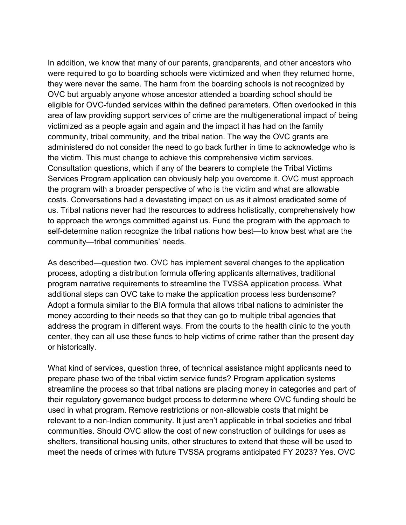In addition, we know that many of our parents, grandparents, and other ancestors who were required to go to boarding schools were victimized and when they returned home, they were never the same. The harm from the boarding schools is not recognized by OVC but arguably anyone whose ancestor attended a boarding school should be eligible for OVC-funded services within the defined parameters. Often overlooked in this area of law providing support services of crime are the multigenerational impact of being victimized as a people again and again and the impact it has had on the family community, tribal community, and the tribal nation. The way the OVC grants are administered do not consider the need to go back further in time to acknowledge who is the victim. This must change to achieve this comprehensive victim services. Consultation questions, which if any of the bearers to complete the Tribal Victims Services Program application can obviously help you overcome it. OVC must approach the program with a broader perspective of who is the victim and what are allowable costs. Conversations had a devastating impact on us as it almost eradicated some of us. Tribal nations never had the resources to address holistically, comprehensively how to approach the wrongs committed against us. Fund the program with the approach to self-determine nation recognize the tribal nations how best—to know best what are the community—tribal communities' needs.

As described—question two. OVC has implement several changes to the application process, adopting a distribution formula offering applicants alternatives, traditional program narrative requirements to streamline the TVSSA application process. What additional steps can OVC take to make the application process less burdensome? Adopt a formula similar to the BIA formula that allows tribal nations to administer the money according to their needs so that they can go to multiple tribal agencies that address the program in different ways. From the courts to the health clinic to the youth center, they can all use these funds to help victims of crime rather than the present day or historically.

What kind of services, question three, of technical assistance might applicants need to prepare phase two of the tribal victim service funds? Program application systems streamline the process so that tribal nations are placing money in categories and part of their regulatory governance budget process to determine where OVC funding should be used in what program. Remove restrictions or non-allowable costs that might be relevant to a non-Indian community. It just aren't applicable in tribal societies and tribal communities. Should OVC allow the cost of new construction of buildings for uses as shelters, transitional housing units, other structures to extend that these will be used to meet the needs of crimes with future TVSSA programs anticipated FY 2023? Yes. OVC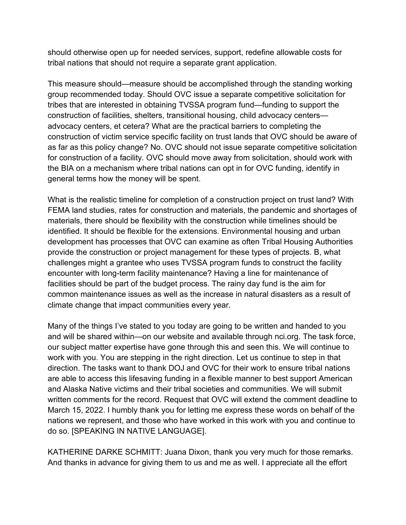should otherwise open up for needed services, support, redefine allowable costs for tribal nations that should not require a separate grant application.

This measure should—measure should be accomplished through the standing working group recommended today. Should OVC issue a separate competitive solicitation for tribes that are interested in obtaining TVSSA program fund—funding to support the construction of facilities, shelters, transitional housing, child advocacy centers advocacy centers, et cetera? What are the practical barriers to completing the construction of victim service specific facility on trust lands that OVC should be aware of as far as this policy change? No. OVC should not issue separate competitive solicitation for construction of a facility. OVC should move away from solicitation, should work with the BIA on a mechanism where tribal nations can opt in for OVC funding, identify in general terms how the money will be spent.

What is the realistic timeline for completion of a construction project on trust land? With FEMA land studies, rates for construction and materials, the pandemic and shortages of materials, there should be flexibility with the construction while timelines should be identified. It should be flexible for the extensions. Environmental housing and urban development has processes that OVC can examine as often Tribal Housing Authorities provide the construction or project management for these types of projects. B, what challenges might a grantee who uses TVSSA program funds to construct the facility encounter with long-term facility maintenance? Having a line for maintenance of facilities should be part of the budget process. The rainy day fund is the aim for common maintenance issues as well as the increase in natural disasters as a result of climate change that impact communities every year.

Many of the things I've stated to you today are going to be written and handed to you and will be shared within—on our website and available through nci.org. The task force, our subject matter expertise have gone through this and seen this. We will continue to work with you. You are stepping in the right direction. Let us continue to step in that direction. The tasks want to thank DOJ and OVC for their work to ensure tribal nations are able to access this lifesaving funding in a flexible manner to best support American and Alaska Native victims and their tribal societies and communities. We will submit written comments for the record. Request that OVC will extend the comment deadline to March 15, 2022. I humbly thank you for letting me express these words on behalf of the nations we represent, and those who have worked in this work with you and continue to do so. [SPEAKING IN NATIVE LANGUAGE].

KATHERINE DARKE SCHMITT: Juana Dixon, thank you very much for those remarks. And thanks in advance for giving them to us and me as well. I appreciate all the effort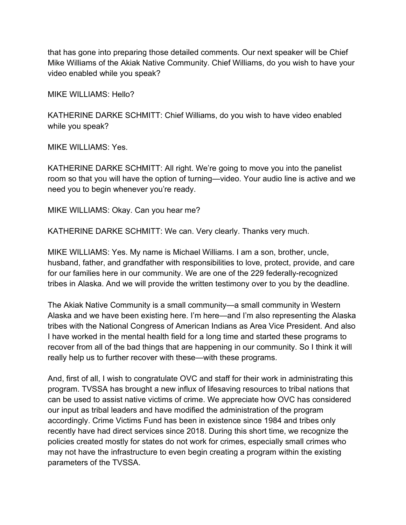that has gone into preparing those detailed comments. Our next speaker will be Chief Mike Williams of the Akiak Native Community. Chief Williams, do you wish to have your video enabled while you speak?

MIKE WILLIAMS: Hello?

KATHERINE DARKE SCHMITT: Chief Williams, do you wish to have video enabled while you speak?

MIKE WILLIAMS: Yes.

KATHERINE DARKE SCHMITT: All right. We're going to move you into the panelist room so that you will have the option of turning—video. Your audio line is active and we need you to begin whenever you're ready.

MIKE WILLIAMS: Okay. Can you hear me?

KATHERINE DARKE SCHMITT: We can. Very clearly. Thanks very much.

MIKE WILLIAMS: Yes. My name is Michael Williams. I am a son, brother, uncle, husband, father, and grandfather with responsibilities to love, protect, provide, and care for our families here in our community. We are one of the 229 federally-recognized tribes in Alaska. And we will provide the written testimony over to you by the deadline.

The Akiak Native Community is a small community—a small community in Western Alaska and we have been existing here. I'm here—and I'm also representing the Alaska tribes with the National Congress of American Indians as Area Vice President. And also I have worked in the mental health field for a long time and started these programs to recover from all of the bad things that are happening in our community. So I think it will really help us to further recover with these—with these programs.

And, first of all, I wish to congratulate OVC and staff for their work in administrating this program. TVSSA has brought a new influx of lifesaving resources to tribal nations that can be used to assist native victims of crime. We appreciate how OVC has considered our input as tribal leaders and have modified the administration of the program accordingly. Crime Victims Fund has been in existence since 1984 and tribes only recently have had direct services since 2018. During this short time, we recognize the policies created mostly for states do not work for crimes, especially small crimes who may not have the infrastructure to even begin creating a program within the existing parameters of the TVSSA.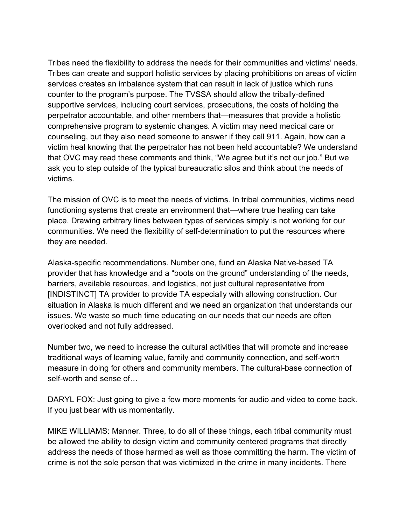Tribes need the flexibility to address the needs for their communities and victims' needs. Tribes can create and support holistic services by placing prohibitions on areas of victim services creates an imbalance system that can result in lack of justice which runs counter to the program's purpose. The TVSSA should allow the tribally-defined supportive services, including court services, prosecutions, the costs of holding the perpetrator accountable, and other members that—measures that provide a holistic comprehensive program to systemic changes. A victim may need medical care or counseling, but they also need someone to answer if they call 911. Again, how can a victim heal knowing that the perpetrator has not been held accountable? We understand that OVC may read these comments and think, "We agree but it's not our job." But we ask you to step outside of the typical bureaucratic silos and think about the needs of victims.

The mission of OVC is to meet the needs of victims. In tribal communities, victims need functioning systems that create an environment that—where true healing can take place. Drawing arbitrary lines between types of services simply is not working for our communities. We need the flexibility of self-determination to put the resources where they are needed.

Alaska-specific recommendations. Number one, fund an Alaska Native-based TA provider that has knowledge and a "boots on the ground" understanding of the needs, barriers, available resources, and logistics, not just cultural representative from [INDISTINCT] TA provider to provide TA especially with allowing construction. Our situation in Alaska is much different and we need an organization that understands our issues. We waste so much time educating on our needs that our needs are often overlooked and not fully addressed.

Number two, we need to increase the cultural activities that will promote and increase traditional ways of learning value, family and community connection, and self-worth measure in doing for others and community members. The cultural-base connection of self-worth and sense of…

DARYL FOX: Just going to give a few more moments for audio and video to come back. If you just bear with us momentarily.

MIKE WILLIAMS: Manner. Three, to do all of these things, each tribal community must be allowed the ability to design victim and community centered programs that directly address the needs of those harmed as well as those committing the harm. The victim of crime is not the sole person that was victimized in the crime in many incidents. There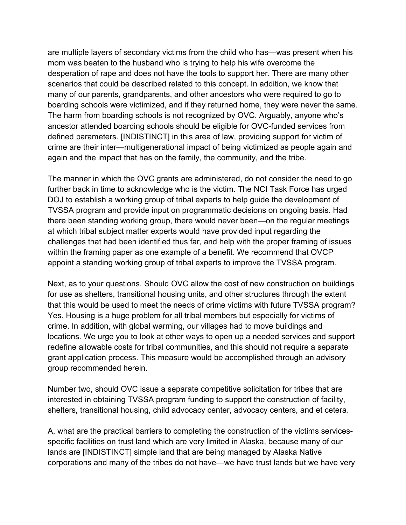are multiple layers of secondary victims from the child who has—was present when his mom was beaten to the husband who is trying to help his wife overcome the desperation of rape and does not have the tools to support her. There are many other scenarios that could be described related to this concept. In addition, we know that many of our parents, grandparents, and other ancestors who were required to go to boarding schools were victimized, and if they returned home, they were never the same. The harm from boarding schools is not recognized by OVC. Arguably, anyone who's ancestor attended boarding schools should be eligible for OVC-funded services from defined parameters. [INDISTINCT] in this area of law, providing support for victim of crime are their inter—multigenerational impact of being victimized as people again and again and the impact that has on the family, the community, and the tribe.

The manner in which the OVC grants are administered, do not consider the need to go further back in time to acknowledge who is the victim. The NCI Task Force has urged DOJ to establish a working group of tribal experts to help guide the development of TVSSA program and provide input on programmatic decisions on ongoing basis. Had there been standing working group, there would never been—on the regular meetings at which tribal subject matter experts would have provided input regarding the challenges that had been identified thus far, and help with the proper framing of issues within the framing paper as one example of a benefit. We recommend that OVCP appoint a standing working group of tribal experts to improve the TVSSA program.

Next, as to your questions. Should OVC allow the cost of new construction on buildings for use as shelters, transitional housing units, and other structures through the extent that this would be used to meet the needs of crime victims with future TVSSA program? Yes. Housing is a huge problem for all tribal members but especially for victims of crime. In addition, with global warming, our villages had to move buildings and locations. We urge you to look at other ways to open up a needed services and support redefine allowable costs for tribal communities, and this should not require a separate grant application process. This measure would be accomplished through an advisory group recommended herein.

Number two, should OVC issue a separate competitive solicitation for tribes that are interested in obtaining TVSSA program funding to support the construction of facility, shelters, transitional housing, child advocacy center, advocacy centers, and et cetera.

A, what are the practical barriers to completing the construction of the victims servicesspecific facilities on trust land which are very limited in Alaska, because many of our lands are [INDISTINCT] simple land that are being managed by Alaska Native corporations and many of the tribes do not have—we have trust lands but we have very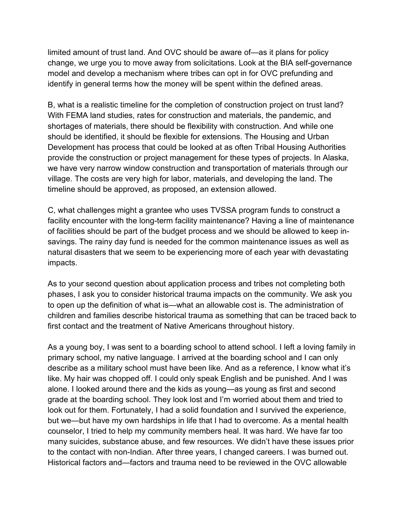limited amount of trust land. And OVC should be aware of—as it plans for policy change, we urge you to move away from solicitations. Look at the BIA self-governance model and develop a mechanism where tribes can opt in for OVC prefunding and identify in general terms how the money will be spent within the defined areas.

B, what is a realistic timeline for the completion of construction project on trust land? With FEMA land studies, rates for construction and materials, the pandemic, and shortages of materials, there should be flexibility with construction. And while one should be identified, it should be flexible for extensions. The Housing and Urban Development has process that could be looked at as often Tribal Housing Authorities provide the construction or project management for these types of projects. In Alaska, we have very narrow window construction and transportation of materials through our village. The costs are very high for labor, materials, and developing the land. The timeline should be approved, as proposed, an extension allowed.

C, what challenges might a grantee who uses TVSSA program funds to construct a facility encounter with the long-term facility maintenance? Having a line of maintenance of facilities should be part of the budget process and we should be allowed to keep insavings. The rainy day fund is needed for the common maintenance issues as well as natural disasters that we seem to be experiencing more of each year with devastating impacts.

As to your second question about application process and tribes not completing both phases, I ask you to consider historical trauma impacts on the community. We ask you to open up the definition of what is—what an allowable cost is. The administration of children and families describe historical trauma as something that can be traced back to first contact and the treatment of Native Americans throughout history.

As a young boy, I was sent to a boarding school to attend school. I left a loving family in primary school, my native language. I arrived at the boarding school and I can only describe as a military school must have been like. And as a reference, I know what it's like. My hair was chopped off. I could only speak English and be punished. And I was alone. I looked around there and the kids as young—as young as first and second grade at the boarding school. They look lost and I'm worried about them and tried to look out for them. Fortunately, I had a solid foundation and I survived the experience, but we—but have my own hardships in life that I had to overcome. As a mental health counselor, I tried to help my community members heal. It was hard. We have far too many suicides, substance abuse, and few resources. We didn't have these issues prior to the contact with non-Indian. After three years, I changed careers. I was burned out. Historical factors and—factors and trauma need to be reviewed in the OVC allowable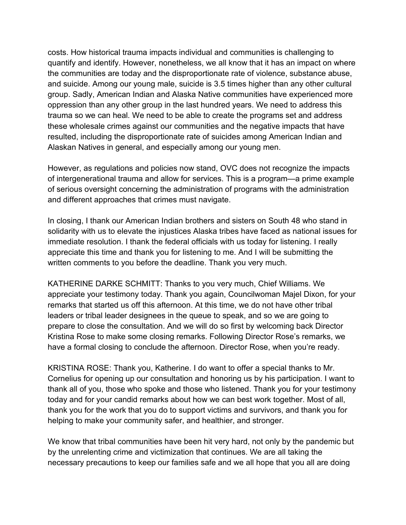costs. How historical trauma impacts individual and communities is challenging to quantify and identify. However, nonetheless, we all know that it has an impact on where the communities are today and the disproportionate rate of violence, substance abuse, and suicide. Among our young male, suicide is 3.5 times higher than any other cultural group. Sadly, American Indian and Alaska Native communities have experienced more oppression than any other group in the last hundred years. We need to address this trauma so we can heal. We need to be able to create the programs set and address these wholesale crimes against our communities and the negative impacts that have resulted, including the disproportionate rate of suicides among American Indian and Alaskan Natives in general, and especially among our young men.

However, as regulations and policies now stand, OVC does not recognize the impacts of intergenerational trauma and allow for services. This is a program—a prime example of serious oversight concerning the administration of programs with the administration and different approaches that crimes must navigate.

In closing, I thank our American Indian brothers and sisters on South 48 who stand in solidarity with us to elevate the injustices Alaska tribes have faced as national issues for immediate resolution. I thank the federal officials with us today for listening. I really appreciate this time and thank you for listening to me. And I will be submitting the written comments to you before the deadline. Thank you very much.

KATHERINE DARKE SCHMITT: Thanks to you very much, Chief Williams. We appreciate your testimony today. Thank you again, Councilwoman Majel Dixon, for your remarks that started us off this afternoon. At this time, we do not have other tribal leaders or tribal leader designees in the queue to speak, and so we are going to prepare to close the consultation. And we will do so first by welcoming back Director Kristina Rose to make some closing remarks. Following Director Rose's remarks, we have a formal closing to conclude the afternoon. Director Rose, when you're ready.

KRISTINA ROSE: Thank you, Katherine. I do want to offer a special thanks to Mr. Cornelius for opening up our consultation and honoring us by his participation. I want to thank all of you, those who spoke and those who listened. Thank you for your testimony today and for your candid remarks about how we can best work together. Most of all, thank you for the work that you do to support victims and survivors, and thank you for helping to make your community safer, and healthier, and stronger.

We know that tribal communities have been hit very hard, not only by the pandemic but by the unrelenting crime and victimization that continues. We are all taking the necessary precautions to keep our families safe and we all hope that you all are doing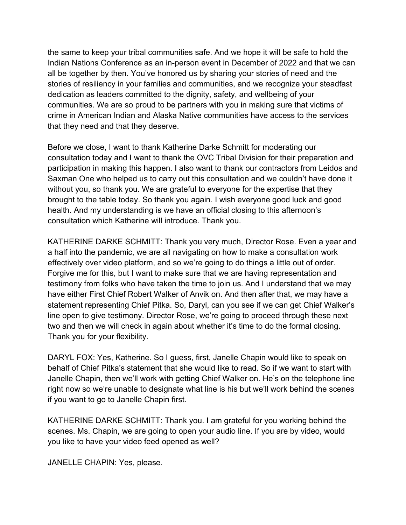the same to keep your tribal communities safe. And we hope it will be safe to hold the Indian Nations Conference as an in-person event in December of 2022 and that we can all be together by then. You've honored us by sharing your stories of need and the stories of resiliency in your families and communities, and we recognize your steadfast dedication as leaders committed to the dignity, safety, and wellbeing of your communities. We are so proud to be partners with you in making sure that victims of crime in American Indian and Alaska Native communities have access to the services that they need and that they deserve.

Before we close, I want to thank Katherine Darke Schmitt for moderating our consultation today and I want to thank the OVC Tribal Division for their preparation and participation in making this happen. I also want to thank our contractors from Leidos and Saxman One who helped us to carry out this consultation and we couldn't have done it without you, so thank you. We are grateful to everyone for the expertise that they brought to the table today. So thank you again. I wish everyone good luck and good health. And my understanding is we have an official closing to this afternoon's consultation which Katherine will introduce. Thank you.

KATHERINE DARKE SCHMITT: Thank you very much, Director Rose. Even a year and a half into the pandemic, we are all navigating on how to make a consultation work effectively over video platform, and so we're going to do things a little out of order. Forgive me for this, but I want to make sure that we are having representation and testimony from folks who have taken the time to join us. And I understand that we may have either First Chief Robert Walker of Anvik on. And then after that, we may have a statement representing Chief Pitka. So, Daryl, can you see if we can get Chief Walker's line open to give testimony. Director Rose, we're going to proceed through these next two and then we will check in again about whether it's time to do the formal closing. Thank you for your flexibility.

DARYL FOX: Yes, Katherine. So I guess, first, Janelle Chapin would like to speak on behalf of Chief Pitka's statement that she would like to read. So if we want to start with Janelle Chapin, then we'll work with getting Chief Walker on. He's on the telephone line right now so we're unable to designate what line is his but we'll work behind the scenes if you want to go to Janelle Chapin first.

KATHERINE DARKE SCHMITT: Thank you. I am grateful for you working behind the scenes. Ms. Chapin, we are going to open your audio line. If you are by video, would you like to have your video feed opened as well?

JANELLE CHAPIN: Yes, please.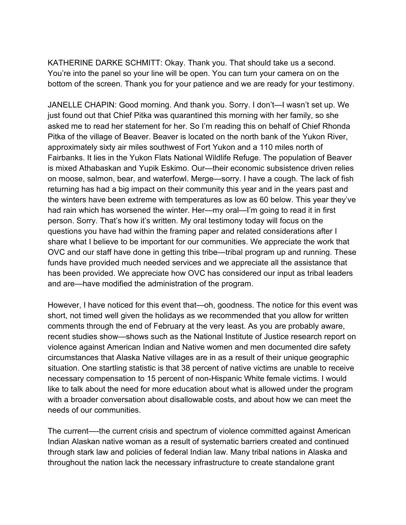KATHERINE DARKE SCHMITT: Okay. Thank you. That should take us a second. You're into the panel so your line will be open. You can turn your camera on on the bottom of the screen. Thank you for your patience and we are ready for your testimony.

JANELLE CHAPIN: Good morning. And thank you. Sorry. I don't—I wasn't set up. We just found out that Chief Pitka was quarantined this morning with her family, so she asked me to read her statement for her. So I'm reading this on behalf of Chief Rhonda Pitka of the village of Beaver. Beaver is located on the north bank of the Yukon River, approximately sixty air miles southwest of Fort Yukon and a 110 miles north of Fairbanks. It lies in the Yukon Flats National Wildlife Refuge. The population of Beaver is mixed Athabaskan and Yupik Eskimo. Our—their economic subsistence driven relies on moose, salmon, bear, and waterfowl. Merge—sorry. I have a cough. The lack of fish returning has had a big impact on their community this year and in the years past and the winters have been extreme with temperatures as low as 60 below. This year they've had rain which has worsened the winter. Her—my oral—I'm going to read it in first person. Sorry. That's how it's written. My oral testimony today will focus on the questions you have had within the framing paper and related considerations after I share what I believe to be important for our communities. We appreciate the work that OVC and our staff have done in getting this tribe—tribal program up and running. These funds have provided much needed services and we appreciate all the assistance that has been provided. We appreciate how OVC has considered our input as tribal leaders and are—have modified the administration of the program.

However, I have noticed for this event that—oh, goodness. The notice for this event was short, not timed well given the holidays as we recommended that you allow for written comments through the end of February at the very least. As you are probably aware, recent studies show—shows such as the National Institute of Justice research report on violence against American Indian and Native women and men documented dire safety circumstances that Alaska Native villages are in as a result of their unique geographic situation. One startling statistic is that 38 percent of native victims are unable to receive necessary compensation to 15 percent of non-Hispanic White female victims. I would like to talk about the need for more education about what is allowed under the program with a broader conversation about disallowable costs, and about how we can meet the needs of our communities.

The current—-the current crisis and spectrum of violence committed against American Indian Alaskan native woman as a result of systematic barriers created and continued through stark law and policies of federal Indian law. Many tribal nations in Alaska and throughout the nation lack the necessary infrastructure to create standalone grant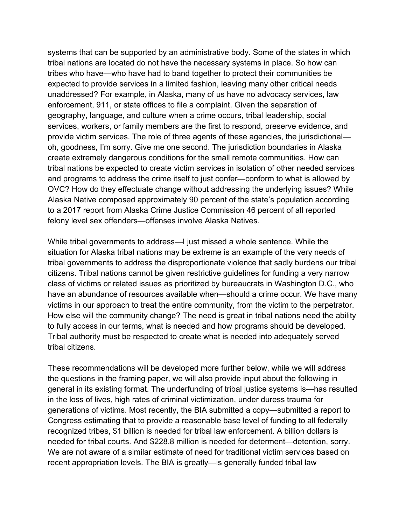systems that can be supported by an administrative body. Some of the states in which tribal nations are located do not have the necessary systems in place. So how can tribes who have—who have had to band together to protect their communities be expected to provide services in a limited fashion, leaving many other critical needs unaddressed? For example, in Alaska, many of us have no advocacy services, law enforcement, 911, or state offices to file a complaint. Given the separation of geography, language, and culture when a crime occurs, tribal leadership, social services, workers, or family members are the first to respond, preserve evidence, and provide victim services. The role of three agents of these agencies, the jurisdictional oh, goodness, I'm sorry. Give me one second. The jurisdiction boundaries in Alaska create extremely dangerous conditions for the small remote communities. How can tribal nations be expected to create victim services in isolation of other needed services and programs to address the crime itself to just confer—conform to what is allowed by OVC? How do they effectuate change without addressing the underlying issues? While Alaska Native composed approximately 90 percent of the state's population according to a 2017 report from Alaska Crime Justice Commission 46 percent of all reported felony level sex offenders—offenses involve Alaska Natives.

While tribal governments to address—I just missed a whole sentence. While the situation for Alaska tribal nations may be extreme is an example of the very needs of tribal governments to address the disproportionate violence that sadly burdens our tribal citizens. Tribal nations cannot be given restrictive guidelines for funding a very narrow class of victims or related issues as prioritized by bureaucrats in Washington D.C., who have an abundance of resources available when—should a crime occur. We have many victims in our approach to treat the entire community, from the victim to the perpetrator. How else will the community change? The need is great in tribal nations need the ability to fully access in our terms, what is needed and how programs should be developed. Tribal authority must be respected to create what is needed into adequately served tribal citizens.

These recommendations will be developed more further below, while we will address the questions in the framing paper, we will also provide input about the following in general in its existing format. The underfunding of tribal justice systems is—has resulted in the loss of lives, high rates of criminal victimization, under duress trauma for generations of victims. Most recently, the BIA submitted a copy—submitted a report to Congress estimating that to provide a reasonable base level of funding to all federally recognized tribes, \$1 billion is needed for tribal law enforcement. A billion dollars is needed for tribal courts. And \$228.8 million is needed for determent—detention, sorry. We are not aware of a similar estimate of need for traditional victim services based on recent appropriation levels. The BIA is greatly—is generally funded tribal law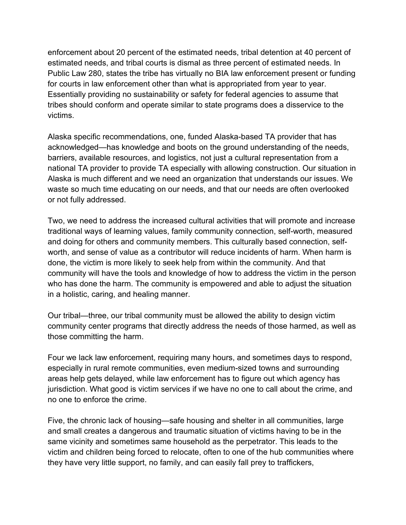enforcement about 20 percent of the estimated needs, tribal detention at 40 percent of estimated needs, and tribal courts is dismal as three percent of estimated needs. In Public Law 280, states the tribe has virtually no BIA law enforcement present or funding for courts in law enforcement other than what is appropriated from year to year. Essentially providing no sustainability or safety for federal agencies to assume that tribes should conform and operate similar to state programs does a disservice to the victims.

Alaska specific recommendations, one, funded Alaska-based TA provider that has acknowledged—has knowledge and boots on the ground understanding of the needs, barriers, available resources, and logistics, not just a cultural representation from a national TA provider to provide TA especially with allowing construction. Our situation in Alaska is much different and we need an organization that understands our issues. We waste so much time educating on our needs, and that our needs are often overlooked or not fully addressed.

Two, we need to address the increased cultural activities that will promote and increase traditional ways of learning values, family community connection, self-worth, measured and doing for others and community members. This culturally based connection, selfworth, and sense of value as a contributor will reduce incidents of harm. When harm is done, the victim is more likely to seek help from within the community. And that community will have the tools and knowledge of how to address the victim in the person who has done the harm. The community is empowered and able to adjust the situation in a holistic, caring, and healing manner.

Our tribal—three, our tribal community must be allowed the ability to design victim community center programs that directly address the needs of those harmed, as well as those committing the harm.

Four we lack law enforcement, requiring many hours, and sometimes days to respond, especially in rural remote communities, even medium-sized towns and surrounding areas help gets delayed, while law enforcement has to figure out which agency has jurisdiction. What good is victim services if we have no one to call about the crime, and no one to enforce the crime.

Five, the chronic lack of housing—safe housing and shelter in all communities, large and small creates a dangerous and traumatic situation of victims having to be in the same vicinity and sometimes same household as the perpetrator. This leads to the victim and children being forced to relocate, often to one of the hub communities where they have very little support, no family, and can easily fall prey to traffickers,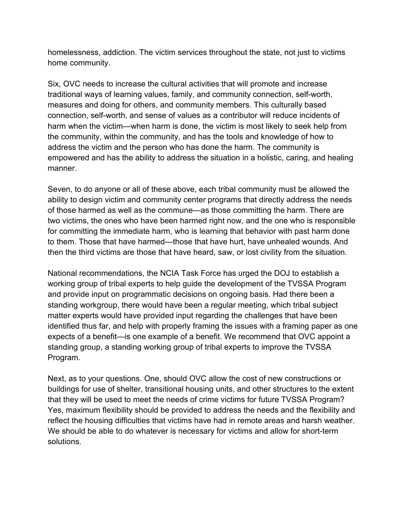homelessness, addiction. The victim services throughout the state, not just to victims home community.

Six, OVC needs to increase the cultural activities that will promote and increase traditional ways of learning values, family, and community connection, self-worth, measures and doing for others, and community members. This culturally based connection, self-worth, and sense of values as a contributor will reduce incidents of harm when the victim—when harm is done, the victim is most likely to seek help from the community, within the community, and has the tools and knowledge of how to address the victim and the person who has done the harm. The community is empowered and has the ability to address the situation in a holistic, caring, and healing manner.

Seven, to do anyone or all of these above, each tribal community must be allowed the ability to design victim and community center programs that directly address the needs of those harmed as well as the commune—as those committing the harm. There are two victims, the ones who have been harmed right now, and the one who is responsible for committing the immediate harm, who is learning that behavior with past harm done to them. Those that have harmed—those that have hurt, have unhealed wounds. And then the third victims are those that have heard, saw, or lost civility from the situation.

National recommendations, the NCIA Task Force has urged the DOJ to establish a working group of tribal experts to help guide the development of the TVSSA Program and provide input on programmatic decisions on ongoing basis. Had there been a standing workgroup, there would have been a regular meeting, which tribal subject matter experts would have provided input regarding the challenges that have been identified thus far, and help with properly framing the issues with a framing paper as one expects of a benefit—is one example of a benefit. We recommend that OVC appoint a standing group, a standing working group of tribal experts to improve the TVSSA Program.

Next, as to your questions. One, should OVC allow the cost of new constructions or buildings for use of shelter, transitional housing units, and other structures to the extent that they will be used to meet the needs of crime victims for future TVSSA Program? Yes, maximum flexibility should be provided to address the needs and the flexibility and reflect the housing difficulties that victims have had in remote areas and harsh weather. We should be able to do whatever is necessary for victims and allow for short-term solutions.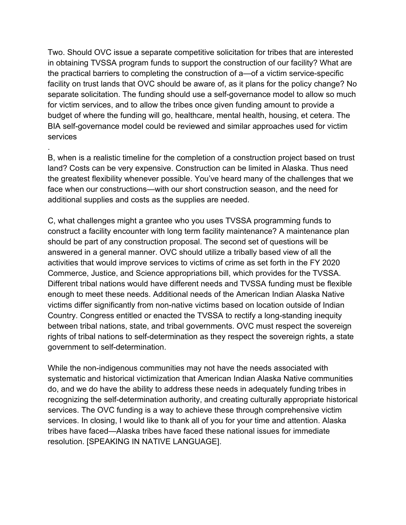Two. Should OVC issue a separate competitive solicitation for tribes that are interested in obtaining TVSSA program funds to support the construction of our facility? What are the practical barriers to completing the construction of a—of a victim service-specific facility on trust lands that OVC should be aware of, as it plans for the policy change? No separate solicitation. The funding should use a self-governance model to allow so much for victim services, and to allow the tribes once given funding amount to provide a budget of where the funding will go, healthcare, mental health, housing, et cetera. The BIA self-governance model could be reviewed and similar approaches used for victim services

B, when is a realistic timeline for the completion of a construction project based on trust land? Costs can be very expensive. Construction can be limited in Alaska. Thus need the greatest flexibility whenever possible. You've heard many of the challenges that we face when our constructions—with our short construction season, and the need for additional supplies and costs as the supplies are needed.

.

C, what challenges might a grantee who you uses TVSSA programming funds to construct a facility encounter with long term facility maintenance? A maintenance plan should be part of any construction proposal. The second set of questions will be answered in a general manner. OVC should utilize a tribally based view of all the activities that would improve services to victims of crime as set forth in the FY 2020 Commerce, Justice, and Science appropriations bill, which provides for the TVSSA. Different tribal nations would have different needs and TVSSA funding must be flexible enough to meet these needs. Additional needs of the American Indian Alaska Native victims differ significantly from non-native victims based on location outside of Indian Country. Congress entitled or enacted the TVSSA to rectify a long-standing inequity between tribal nations, state, and tribal governments. OVC must respect the sovereign rights of tribal nations to self-determination as they respect the sovereign rights, a state government to self-determination.

While the non-indigenous communities may not have the needs associated with systematic and historical victimization that American Indian Alaska Native communities do, and we do have the ability to address these needs in adequately funding tribes in recognizing the self-determination authority, and creating culturally appropriate historical services. The OVC funding is a way to achieve these through comprehensive victim services. In closing, I would like to thank all of you for your time and attention. Alaska tribes have faced—Alaska tribes have faced these national issues for immediate resolution. [SPEAKING IN NATIVE LANGUAGE].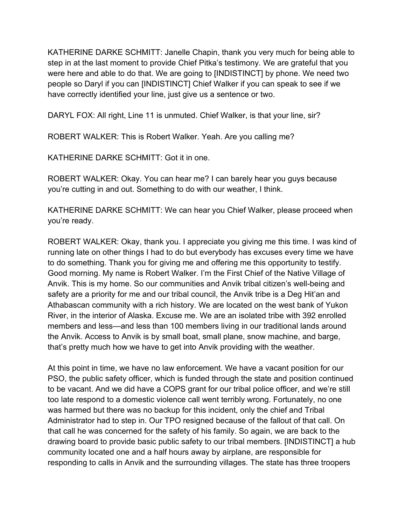KATHERINE DARKE SCHMITT: Janelle Chapin, thank you very much for being able to step in at the last moment to provide Chief Pitka's testimony. We are grateful that you were here and able to do that. We are going to [INDISTINCT] by phone. We need two people so Daryl if you can [INDISTINCT] Chief Walker if you can speak to see if we have correctly identified your line, just give us a sentence or two.

DARYL FOX: All right, Line 11 is unmuted. Chief Walker, is that your line, sir?

ROBERT WALKER: This is Robert Walker. Yeah. Are you calling me?

KATHERINE DARKE SCHMITT: Got it in one.

ROBERT WALKER: Okay. You can hear me? I can barely hear you guys because you're cutting in and out. Something to do with our weather, I think.

KATHERINE DARKE SCHMITT: We can hear you Chief Walker, please proceed when you're ready.

ROBERT WALKER: Okay, thank you. I appreciate you giving me this time. I was kind of running late on other things I had to do but everybody has excuses every time we have to do something. Thank you for giving me and offering me this opportunity to testify. Good morning. My name is Robert Walker. I'm the First Chief of the Native Village of Anvik. This is my home. So our communities and Anvik tribal citizen's well-being and safety are a priority for me and our tribal council, the Anvik tribe is a Deg Hit'an and Athabascan community with a rich history. We are located on the west bank of Yukon River, in the interior of Alaska. Excuse me. We are an isolated tribe with 392 enrolled members and less—and less than 100 members living in our traditional lands around the Anvik. Access to Anvik is by small boat, small plane, snow machine, and barge, that's pretty much how we have to get into Anvik providing with the weather.

At this point in time, we have no law enforcement. We have a vacant position for our PSO, the public safety officer, which is funded through the state and position continued to be vacant. And we did have a COPS grant for our tribal police officer, and we're still too late respond to a domestic violence call went terribly wrong. Fortunately, no one was harmed but there was no backup for this incident, only the chief and Tribal Administrator had to step in. Our TPO resigned because of the fallout of that call. On that call he was concerned for the safety of his family. So again, we are back to the drawing board to provide basic public safety to our tribal members. [INDISTINCT] a hub community located one and a half hours away by airplane, are responsible for responding to calls in Anvik and the surrounding villages. The state has three troopers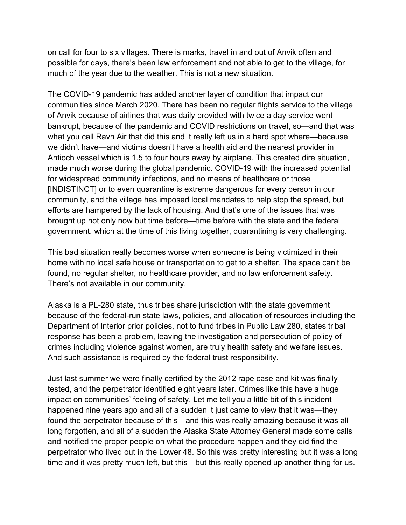on call for four to six villages. There is marks, travel in and out of Anvik often and possible for days, there's been law enforcement and not able to get to the village, for much of the year due to the weather. This is not a new situation.

The COVID-19 pandemic has added another layer of condition that impact our communities since March 2020. There has been no regular flights service to the village of Anvik because of airlines that was daily provided with twice a day service went bankrupt, because of the pandemic and COVID restrictions on travel, so—and that was what you call Ravn Air that did this and it really left us in a hard spot where—because we didn't have—and victims doesn't have a health aid and the nearest provider in Antioch vessel which is 1.5 to four hours away by airplane. This created dire situation, made much worse during the global pandemic. COVID-19 with the increased potential for widespread community infections, and no means of healthcare or those [INDISTINCT] or to even quarantine is extreme dangerous for every person in our community, and the village has imposed local mandates to help stop the spread, but efforts are hampered by the lack of housing. And that's one of the issues that was brought up not only now but time before—time before with the state and the federal government, which at the time of this living together, quarantining is very challenging.

This bad situation really becomes worse when someone is being victimized in their home with no local safe house or transportation to get to a shelter. The space can't be found, no regular shelter, no healthcare provider, and no law enforcement safety. There's not available in our community.

Alaska is a PL-280 state, thus tribes share jurisdiction with the state government because of the federal-run state laws, policies, and allocation of resources including the Department of Interior prior policies, not to fund tribes in Public Law 280, states tribal response has been a problem, leaving the investigation and persecution of policy of crimes including violence against women, are truly health safety and welfare issues. And such assistance is required by the federal trust responsibility.

Just last summer we were finally certified by the 2012 rape case and kit was finally tested, and the perpetrator identified eight years later. Crimes like this have a huge impact on communities' feeling of safety. Let me tell you a little bit of this incident happened nine years ago and all of a sudden it just came to view that it was—they found the perpetrator because of this—and this was really amazing because it was all long forgotten, and all of a sudden the Alaska State Attorney General made some calls and notified the proper people on what the procedure happen and they did find the perpetrator who lived out in the Lower 48. So this was pretty interesting but it was a long time and it was pretty much left, but this—but this really opened up another thing for us.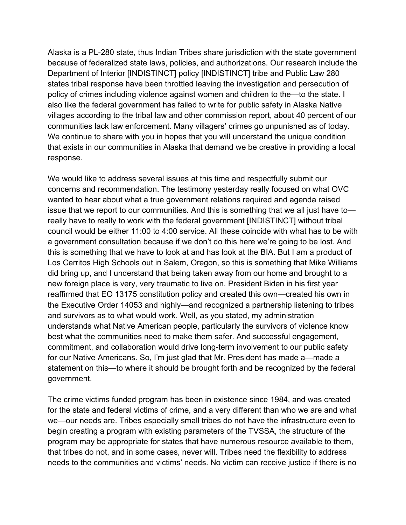Alaska is a PL-280 state, thus Indian Tribes share jurisdiction with the state government because of federalized state laws, policies, and authorizations. Our research include the Department of Interior [INDISTINCT] policy [INDISTINCT] tribe and Public Law 280 states tribal response have been throttled leaving the investigation and persecution of policy of crimes including violence against women and children to the—to the state. I also like the federal government has failed to write for public safety in Alaska Native villages according to the tribal law and other commission report, about 40 percent of our communities lack law enforcement. Many villagers' crimes go unpunished as of today. We continue to share with you in hopes that you will understand the unique condition that exists in our communities in Alaska that demand we be creative in providing a local response.

We would like to address several issues at this time and respectfully submit our concerns and recommendation. The testimony yesterday really focused on what OVC wanted to hear about what a true government relations required and agenda raised issue that we report to our communities. And this is something that we all just have to really have to really to work with the federal government [INDISTINCT] without tribal council would be either 11:00 to 4:00 service. All these coincide with what has to be with a government consultation because if we don't do this here we're going to be lost. And this is something that we have to look at and has look at the BIA. But I am a product of Los Cerritos High Schools out in Salem, Oregon, so this is something that Mike Williams did bring up, and I understand that being taken away from our home and brought to a new foreign place is very, very traumatic to live on. President Biden in his first year reaffirmed that EO 13175 constitution policy and created this own—created his own in the Executive Order 14053 and highly—and recognized a partnership listening to tribes and survivors as to what would work. Well, as you stated, my administration understands what Native American people, particularly the survivors of violence know best what the communities need to make them safer. And successful engagement, commitment, and collaboration would drive long-term involvement to our public safety for our Native Americans. So, I'm just glad that Mr. President has made a—made a statement on this—to where it should be brought forth and be recognized by the federal government.

The crime victims funded program has been in existence since 1984, and was created for the state and federal victims of crime, and a very different than who we are and what we—our needs are. Tribes especially small tribes do not have the infrastructure even to begin creating a program with existing parameters of the TVSSA, the structure of the program may be appropriate for states that have numerous resource available to them, that tribes do not, and in some cases, never will. Tribes need the flexibility to address needs to the communities and victims' needs. No victim can receive justice if there is no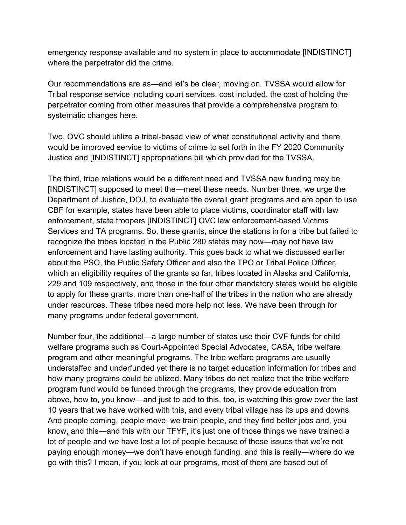emergency response available and no system in place to accommodate [INDISTINCT] where the perpetrator did the crime.

Our recommendations are as—and let's be clear, moving on. TVSSA would allow for Tribal response service including court services, cost included, the cost of holding the perpetrator coming from other measures that provide a comprehensive program to systematic changes here.

Two, OVC should utilize a tribal-based view of what constitutional activity and there would be improved service to victims of crime to set forth in the FY 2020 Community Justice and [INDISTINCT] appropriations bill which provided for the TVSSA.

The third, tribe relations would be a different need and TVSSA new funding may be [INDISTINCT] supposed to meet the—meet these needs. Number three, we urge the Department of Justice, DOJ, to evaluate the overall grant programs and are open to use CBF for example, states have been able to place victims, coordinator staff with law enforcement, state troopers [INDISTINCT] OVC law enforcement-based Victims Services and TA programs. So, these grants, since the stations in for a tribe but failed to recognize the tribes located in the Public 280 states may now—may not have law enforcement and have lasting authority. This goes back to what we discussed earlier about the PSO, the Public Safety Officer and also the TPO or Tribal Police Officer, which an eligibility requires of the grants so far, tribes located in Alaska and California, 229 and 109 respectively, and those in the four other mandatory states would be eligible to apply for these grants, more than one-half of the tribes in the nation who are already under resources. These tribes need more help not less. We have been through for many programs under federal government.

Number four, the additional—a large number of states use their CVF funds for child welfare programs such as Court-Appointed Special Advocates, CASA, tribe welfare program and other meaningful programs. The tribe welfare programs are usually understaffed and underfunded yet there is no target education information for tribes and how many programs could be utilized. Many tribes do not realize that the tribe welfare program fund would be funded through the programs, they provide education from above, how to, you know—and just to add to this, too, is watching this grow over the last 10 years that we have worked with this, and every tribal village has its ups and downs. And people coming, people move, we train people, and they find better jobs and, you know, and this—and this with our TFYF, it's just one of those things we have trained a lot of people and we have lost a lot of people because of these issues that we're not paying enough money—we don't have enough funding, and this is really—where do we go with this? I mean, if you look at our programs, most of them are based out of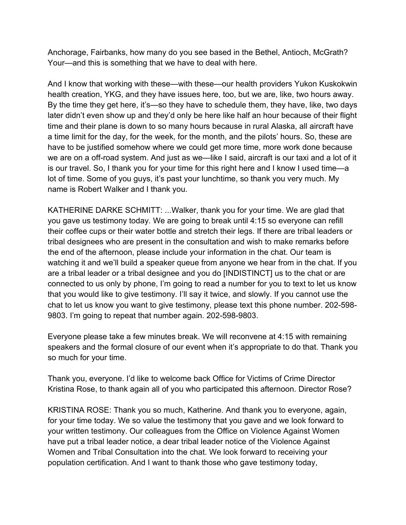Anchorage, Fairbanks, how many do you see based in the Bethel, Antioch, McGrath? Your—and this is something that we have to deal with here.

And I know that working with these—with these—our health providers Yukon Kuskokwin health creation, YKG, and they have issues here, too, but we are, like, two hours away. By the time they get here, it's—so they have to schedule them, they have, like, two days later didn't even show up and they'd only be here like half an hour because of their flight time and their plane is down to so many hours because in rural Alaska, all aircraft have a time limit for the day, for the week, for the month, and the pilots' hours. So, these are have to be justified somehow where we could get more time, more work done because we are on a off-road system. And just as we—like I said, aircraft is our taxi and a lot of it is our travel. So, I thank you for your time for this right here and I know I used time—a lot of time. Some of you guys, it's past your lunchtime, so thank you very much. My name is Robert Walker and I thank you.

KATHERINE DARKE SCHMITT: ...Walker, thank you for your time. We are glad that you gave us testimony today. We are going to break until 4:15 so everyone can refill their coffee cups or their water bottle and stretch their legs. If there are tribal leaders or tribal designees who are present in the consultation and wish to make remarks before the end of the afternoon, please include your information in the chat. Our team is watching it and we'll build a speaker queue from anyone we hear from in the chat. If you are a tribal leader or a tribal designee and you do [INDISTINCT] us to the chat or are connected to us only by phone, I'm going to read a number for you to text to let us know that you would like to give testimony. I'll say it twice, and slowly. If you cannot use the chat to let us know you want to give testimony, please text this phone number. 202-598- 9803. I'm going to repeat that number again. 202-598-9803.

Everyone please take a few minutes break. We will reconvene at 4:15 with remaining speakers and the formal closure of our event when it's appropriate to do that. Thank you so much for your time.

Thank you, everyone. I'd like to welcome back Office for Victims of Crime Director Kristina Rose, to thank again all of you who participated this afternoon. Director Rose?

KRISTINA ROSE: Thank you so much, Katherine. And thank you to everyone, again, for your time today. We so value the testimony that you gave and we look forward to your written testimony. Our colleagues from the Office on Violence Against Women have put a tribal leader notice, a dear tribal leader notice of the Violence Against Women and Tribal Consultation into the chat. We look forward to receiving your population certification. And I want to thank those who gave testimony today,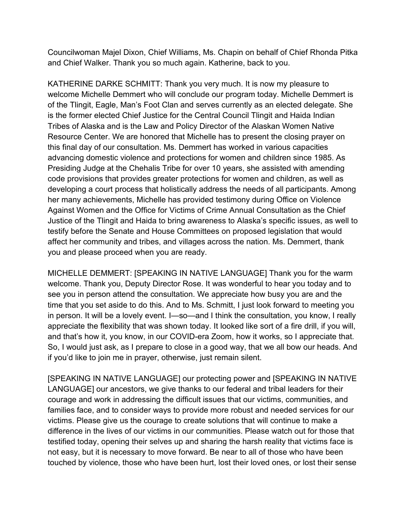Councilwoman Majel Dixon, Chief Williams, Ms. Chapin on behalf of Chief Rhonda Pitka and Chief Walker. Thank you so much again. Katherine, back to you.

KATHERINE DARKE SCHMITT: Thank you very much. It is now my pleasure to welcome Michelle Demmert who will conclude our program today. Michelle Demmert is of the Tlingit, Eagle, Man's Foot Clan and serves currently as an elected delegate. She is the former elected Chief Justice for the Central Council Tlingit and Haida Indian Tribes of Alaska and is the Law and Policy Director of the Alaskan Women Native Resource Center. We are honored that Michelle has to present the closing prayer on this final day of our consultation. Ms. Demmert has worked in various capacities advancing domestic violence and protections for women and children since 1985. As Presiding Judge at the Chehalis Tribe for over 10 years, she assisted with amending code provisions that provides greater protections for women and children, as well as developing a court process that holistically address the needs of all participants. Among her many achievements, Michelle has provided testimony during Office on Violence Against Women and the Office for Victims of Crime Annual Consultation as the Chief Justice of the Tlingit and Haida to bring awareness to Alaska's specific issues, as well to testify before the Senate and House Committees on proposed legislation that would affect her community and tribes, and villages across the nation. Ms. Demmert, thank you and please proceed when you are ready.

MICHELLE DEMMERT: [SPEAKING IN NATIVE LANGUAGE] Thank you for the warm welcome. Thank you, Deputy Director Rose. It was wonderful to hear you today and to see you in person attend the consultation. We appreciate how busy you are and the time that you set aside to do this. And to Ms. Schmitt, I just look forward to meeting you in person. It will be a lovely event. I—so—and I think the consultation, you know, I really appreciate the flexibility that was shown today. It looked like sort of a fire drill, if you will, and that's how it, you know, in our COVID-era Zoom, how it works, so I appreciate that. So, I would just ask, as I prepare to close in a good way, that we all bow our heads. And if you'd like to join me in prayer, otherwise, just remain silent.

[SPEAKING IN NATIVE LANGUAGE] our protecting power and [SPEAKING IN NATIVE LANGUAGE] our ancestors, we give thanks to our federal and tribal leaders for their courage and work in addressing the difficult issues that our victims, communities, and families face, and to consider ways to provide more robust and needed services for our victims. Please give us the courage to create solutions that will continue to make a difference in the lives of our victims in our communities. Please watch out for those that testified today, opening their selves up and sharing the harsh reality that victims face is not easy, but it is necessary to move forward. Be near to all of those who have been touched by violence, those who have been hurt, lost their loved ones, or lost their sense